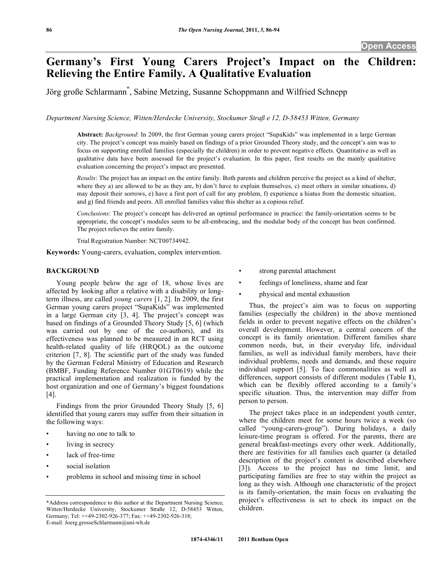# **Germany's First Young Carers Project's Impact on the Children: Relieving the Entire Family. A Qualitative Evaluation**

Jörg große Schlarmann\* , Sabine Metzing, Susanne Schoppmann and Wilfried Schnepp

*Department Nursing Science, Witten/Herdecke University, Stockumer Straß e 12, D-58453 Witten, Germany* 

**Abstract:** *Background*: In 2009, the first German young carers project "SupaKids" was implemented in a large German city. The project's concept was mainly based on findings of a prior Grounded Theory study, and the concept's aim was to focus on supporting enrolled families (especially the children) in order to prevent negative effects. Quantitative as well as qualitative data have been assessed for the project's evaluation. In this paper, first results on the mainly qualitative evaluation concerning the project's impact are presented.

*Results*: The project has an impact on the entire family. Both parents and children perceive the project as a kind of shelter, where they a) are allowed to be as they are, b) don't have to explain themselves, c) meet others in similar situations, d) may deposit their sorrows, e) have a first port of call for any problem, f) experience a hiatus from the domestic situation, and g) find friends and peers. All enrolled families value this shelter as a copious relief.

*Conclusions*: The project's concept has delivered an optimal performance in practice: the family-orientation seems to be appropriate, the concept's modules seem to be all-embracing, and the modular body of the concept has been confirmed. The project relieves the entire family.

Trial Registration Number: NCT00734942.

**Keywords:** Young-carers, evaluation, complex intervention.

# **BACKGROUND**

 Young people below the age of 18, whose lives are affected by looking after a relative with a disability or longterm illness, are called *young carers* [1, 2]. In 2009, the first German young carers project "SupaKids" was implemented in a large German city [3, 4]. The project's concept was based on findings of a Grounded Theory Study [5, 6] (which was carried out by one of the co-authors), and its effectiveness was planned to be measured in an RCT using health-related quality of life (HRQOL) as the outcome criterion [7, 8]. The scientific part of the study was funded by the German Federal Ministry of Education and Research (BMBF, Funding Reference Number 01GT0619) while the practical implementation and realization is funded by the host organization and one of Germany's biggest foundations [4].

 Findings from the prior Grounded Theory Study [5, 6] identified that young carers may suffer from their situation in the following ways:

- having no one to talk to
- living in secrecy
- lack of free-time
- social isolation
- problems in school and missing time in school
- strong parental attachment
- feelings of loneliness, shame and fear
- physical and mental exhaustion

 Thus, the project's aim was to focus on supporting families (especially the children) in the above mentioned fields in order to prevent negative effects on the children's overall development. However, a central concern of the concept is its family orientation. Different families share common needs, but, in their everyday life, individual families, as well as individual family members, have their individual problems, needs and demands, and these require individual support [5]. To face commonalities as well as differences, support consists of different modules (Table **1**), which can be flexibly offered according to a family's specific situation. Thus, the intervention may differ from person to person.

 The project takes place in an independent youth center, where the children meet for some hours twice a week (so called "young-carers-group"). During holidays, a daily leisure-time program is offered. For the parents, there are general breakfast-meetings every other week. Additionally, there are festivities for all families each quarter (a detailed description of the project's content is described elsewhere [3]). Access to the project has no time limit, and participating families are free to stay within the project as long as they wish. Although one characteristic of the project is its family-orientation, the main focus on evaluating the project's effectiveness is set to check its impact on the children.

<sup>\*</sup>Address correspondence to this author at the Department Nursing Science, Witten/Herdecke University, Stockumer Straße 12, D-58453 Witten, Germany; Tel: ++49-2302-926-377; Fax: ++49-2302-926-318; E-mail: Joerg.grosseSchlarmann@uni-wh.de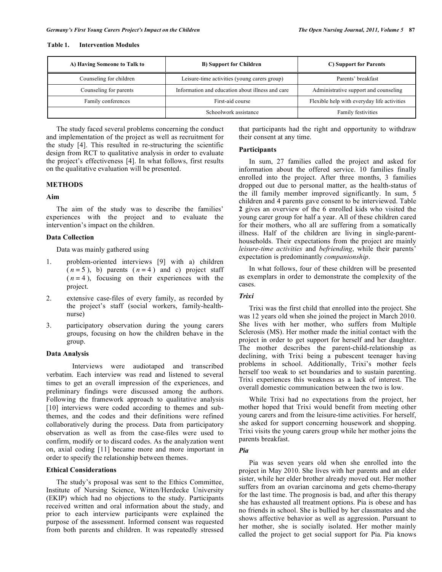#### **Table 1. Intervention Modules**

| A) Having Someone to Talk to | <b>B</b> ) Support for Children                  | C) Support for Parents                      |  |
|------------------------------|--------------------------------------------------|---------------------------------------------|--|
| Counseling for children      | Leisure-time activities (young carers group)     | Parents' breakfast                          |  |
| Counseling for parents       | Information and education about illness and care | Administrative support and counseling       |  |
| Family conferences           | First-aid course                                 | Flexible help with everyday life activities |  |
|                              | Schoolwork assistance                            | Family festivities                          |  |

 The study faced several problems concerning the conduct and implementation of the project as well as recruitment for the study [4]. This resulted in re-structuring the scientific design from RCT to qualitative analysis in order to evaluate the project's effectiveness [4]. In what follows, first results on the qualitative evaluation will be presented.

# **METHODS**

# **Aim**

 The aim of the study was to describe the families' experiences with the project and to evaluate the intervention's impact on the children.

# **Data Collection**

Data was mainly gathered using

- 1. problem-oriented interviews [9] with a) children  $(n = 5)$ , b) parents  $(n = 4)$  and c) project staff  $(n = 4)$ , focusing on their experiences with the project.
- 2. extensive case-files of every family, as recorded by the project's staff (social workers, family-healthnurse)
- 3. participatory observation during the young carers groups, focusing on how the children behave in the group.

# **Data Analysis**

Interviews were audiotaped and transcribed verbatim. Each interview was read and listened to several times to get an overall impression of the experiences, and preliminary findings were discussed among the authors. Following the framework approach to qualitative analysis [10] interviews were coded according to themes and subthemes, and the codes and their definitions were refined collaboratively during the process. Data from participatory observation as well as from the case-files were used to confirm, modify or to discard codes. As the analyzation went on, axial coding [11] became more and more important in order to specify the relationship between themes.

# **Ethical Considerations**

 The study's proposal was sent to the Ethics Committee, Institute of Nursing Science, Witten/Herdecke University (EKIP) which had no objections to the study. Participants received written and oral information about the study, and prior to each interview participants were explained the purpose of the assessment. Informed consent was requested from both parents and children. It was repeatedly stressed

that participants had the right and opportunity to withdraw their consent at any time.

# **Participants**

 In sum, 27 families called the project and asked for information about the offered service. 10 families finally enrolled into the project. After three months, 3 families dropped out due to personal matter, as the health-status of the ill family member improved significantly. In sum, 5 children and 4 parents gave consent to be interviewed. Table **2** gives an overview of the 6 enrolled kids who visited the young carer group for half a year. All of these children cared for their mothers, who all are suffering from a somatically illness. Half of the children are living in single-parenthouseholds. Their expectations from the project are mainly *leisure-time activities* and *befriending*, while their parents' expectation is predominantly *companionship*.

 In what follows, four of these children will be presented as exemplars in order to demonstrate the complexity of the cases.

# *Trixi*

 Trixi was the first child that enrolled into the project. She was 12 years old when she joined the project in March 2010. She lives with her mother, who suffers from Multiple Sclerosis (MS). Her mother made the initial contact with the project in order to get support for herself and her daughter. The mother describes the parent-child-relationship as declining, with Trixi being a pubescent teenager having problems in school. Additionally, Trixi's mother feels herself too weak to set boundaries and to sustain parenting. Trixi experiences this weakness as a lack of interest. The overall domestic communication between the two is low.

 While Trixi had no expectations from the project, her mother hoped that Trixi would benefit from meeting other young carers and from the leisure-time activities. For herself, she asked for support concerning housework and shopping. Trixi visits the young carers group while her mother joins the parents breakfast.

# *Pia*

 Pia was seven years old when she enrolled into the project in May 2010. She lives with her parents and an elder sister, while her elder brother already moved out. Her mother suffers from an ovarian carcinoma and gets chemo-therapy for the last time. The prognosis is bad, and after this therapy she has exhausted all treatment options. Pia is obese and has no friends in school. She is bullied by her classmates and she shows affective behavior as well as aggression. Pursuant to her mother, she is socially isolated. Her mother mainly called the project to get social support for Pia. Pia knows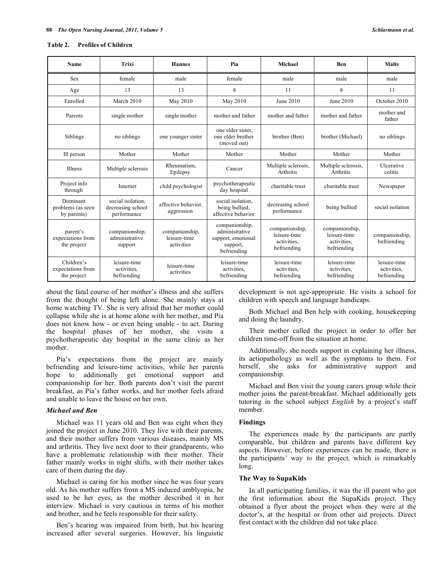#### **Table 2. Profiles of Children**

| Name                                           | Trixi                                                 | <b>Hannes</b>                                | Pia                                                                               | Michael                                                      | <b>Ben</b>                                                   | <b>Malte</b>                               |
|------------------------------------------------|-------------------------------------------------------|----------------------------------------------|-----------------------------------------------------------------------------------|--------------------------------------------------------------|--------------------------------------------------------------|--------------------------------------------|
| <b>Sex</b>                                     | female                                                | male                                         | female                                                                            | male                                                         | male                                                         | male                                       |
| Age                                            | 13                                                    | 13                                           | 8                                                                                 | 11                                                           | 8                                                            | 11                                         |
| Enrolled                                       | March 2010                                            | May 2010                                     | May 2010                                                                          | June 2010                                                    | June 2010                                                    | October 2010                               |
| Parents                                        | single mother                                         | single mother                                | mother and father                                                                 | mother and father                                            | mother and father                                            | mother and<br>father                       |
| Siblings                                       | no siblings                                           | one younger sister                           | one elder sister.<br>one elder brother<br>(moved out)                             | brother (Ben)                                                | brother (Michael)                                            | no siblings                                |
| Ill person                                     | Mother                                                | Mother                                       | Mother                                                                            | Mother                                                       | Mother                                                       | Mother                                     |
| <b>Illness</b>                                 | Multiple sclerosis                                    | Rheumatism,<br>Epilepsy                      | Cancer                                                                            | Multiple sclerosis.<br>Arthritis                             | Multiple sclerosis.<br>Arthritis                             | Ulcerative<br>colitis                      |
| Project info<br>through                        | Internet                                              | child psychologist                           | psychotherapeutic<br>day hospital                                                 | charitable trust                                             | charitable trust                                             | Newspaper                                  |
| Dominant<br>problems (as seen<br>by parents)   | social isolation.<br>decreasing school<br>performance | affective behavior.<br>aggression            | social isolation.<br>being bullied.<br>affective behavior                         | decreasing school<br>performance                             | being bullied                                                | social isolation                           |
| parent's<br>expectations from<br>the project   | companionship.<br>administrative<br>support           | companionship.<br>leisure-time<br>activities | companionship.<br>administrative<br>support, emotional<br>support,<br>befriending | companionship,<br>leisure-time<br>activities.<br>befriending | companionship,<br>leisure-time<br>activities.<br>befriending | companionship,<br>befriending              |
| Children's<br>expectations from<br>the project | leisure-time<br>activities,<br>befriending            | leisure-time<br>activities                   | leisure-time<br>activities.<br>befriending                                        | leisure-time<br>activities.<br>befriending                   | leisure-time<br>activities.<br>befriending                   | leisure-time<br>activities.<br>befriending |

about the fatal course of her mother's illness and she suffers from the thought of being left alone. She mainly stays at home watching TV. She is very afraid that her mother could collapse while she is at home alone with her mother, and Pia does not know how - or even being unable - to act. During the hospital phases of her mother, she visits a psychotherapeutic day hospital in the same clinic as her mother.

 Pia's expectations from the project are mainly befriending and leisure-time activities, while her parents hope to additionally get emotional support and companionship for her. Both parents don't visit the parent breakfast, as Pia's father works, and her mother feels afraid and unable to leave the house on her own.

# *Michael and Ben*

 Michael was 11 years old and Ben was eight when they joined the project in June 2010. They live with their parents, and their mother suffers from various diseases, mainly MS and arthritis. They live next door to their grandparents, who have a problematic relationship with their mother. Their father mainly works in night shifts, with their mother takes care of them during the day.

 Michael is caring for his mother since he was four years old. As his mother suffers from a MS induced amblyopia, he used to be her eyes, as the mother described it in her interview. Michael is very cautious in terms of his mother and brother, and he feels responsible for their safety.

 Ben's hearing was impaired from birth, but his hearing increased after several surgeries. However, his linguistic development is not age-appropriate. He visits a school for children with speech and language handicaps.

 Both Michael and Ben help with cooking, housekeeping and doing the laundry.

 Their mother called the project in order to offer her children time-off from the situation at home.

 Additionally, she needs support in explaining her illness, its aetiopathology as well as the symptoms to them. For herself, she asks for administrative support and companionship.

 Michael and Ben visit the young carers group while their mother joins the parent-breakfast. Michael additionally gets tutoring in the school subject *English* by a project's staff member.

#### **Findings**

 The experiences made by the participants are partly comparable, but children and parents have different key aspects. However, before experiences can be made, there is the participants' way *to* the project, which is remarkably long.

# **The Way to SupaKids**

 In all participating families, it was the ill parent who got the first information about the SupaKids project. They obtained a flyer about the project when they were at the doctor's, at the hospital or from other aid projects. Direct first contact with the children did not take place.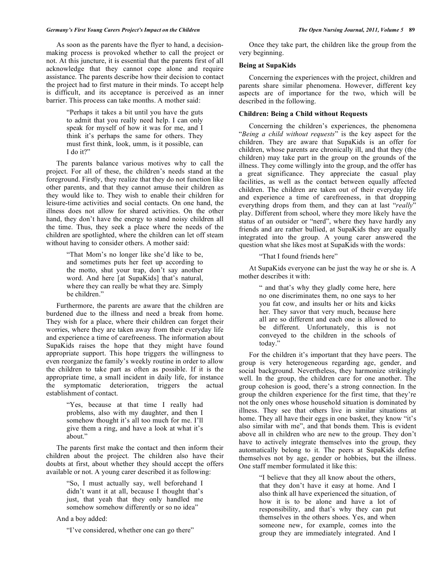#### *Germany's First Young Carers Project's Impact on the Children The Open Nursing Journal, 2011, Volume 5* **89**

 As soon as the parents have the flyer to hand, a decisionmaking process is provoked whether to call the project or not. At this juncture, it is essential that the parents first of all acknowledge that they cannot cope alone and require assistance. The parents describe how their decision to contact the project had to first mature in their minds. To accept help is difficult, and its acceptance is perceived as an inner barrier. This process can take months. A mother said:

> "Perhaps it takes a bit until you have the guts to admit that you really need help. I can only speak for myself of how it was for me, and I think it's perhaps the same for others. They must first think, look, umm, is it possible, can I do it?"

 The parents balance various motives why to call the project. For all of these, the children's needs stand at the foreground. Firstly, they realize that they do not function like other parents, and that they cannot amuse their children as they would like to. They wish to enable their children for leisure-time activities and social contacts. On one hand, the illness does not allow for shared activities. On the other hand, they don't have the energy to stand noisy children all the time. Thus, they seek a place where the needs of the children are spotlighted, where the children can let off steam without having to consider others. A mother said:

> "That Mom's no longer like she'd like to be, and sometimes puts her feet up according to the motto, shut your trap, don't say another word. And here [at SupaKids] that's natural, where they can really be what they are. Simply be children."

 Furthermore, the parents are aware that the children are burdened due to the illness and need a break from home. They wish for a place, where their children can forget their worries, where they are taken away from their everyday life and experience a time of carefreeness. The information about SupaKids raises the hope that they might have found appropriate support. This hope triggers the willingness to even reorganize the family's weekly routine in order to allow the children to take part as often as possible. If it is the appropriate time, a small incident in daily life, for instance the symptomatic deterioration, triggers the actual establishment of contact.

> "Yes, because at that time I really had problems, also with my daughter, and then I somehow thought it's all too much for me. I'll give them a ring, and have a look at what it's about."

 The parents first make the contact and then inform their children about the project. The children also have their doubts at first, about whether they should accept the offers available or not. A young carer described it as following:

> "So, I must actually say, well beforehand I didn't want it at all, because I thought that's just, that yeah that they only handled me somehow somehow differently or so no idea"

And a boy added:

"I've considered, whether one can go there"

 Once they take part, the children like the group from the very beginning.

# **Being at SupaKids**

 Concerning the experiences with the project, children and parents share similar phenomena. However, different key aspects are of importance for the two, which will be described in the following.

# **Children: Being a Child without Requests**

 Concerning the children's experiences, the phenomena "*Being a child without requests*" is the key aspect for the children. They are aware that SupaKids is an offer for children, whose parents are chronically ill, and that they (the children) may take part in the group on the grounds of the illness. They come willingly into the group, and the offer has a great significance. They appreciate the casual play facilities, as well as the contact between equally affected children. The children are taken out of their everyday life and experience a time of carefreeness, in that dropping everything drops from them, and they can at last "*really*" play. Different from school, where they more likely have the status of an outsider or "nerd", where they have hardly any friends and are rather bullied, at SupaKids they are equally integrated into the group. A young carer answered the question what she likes most at SupaKids with the words:

"That I found friends here"

 At SupaKids everyone can be just the way he or she is. A mother describes it with:

> " and that's why they gladly come here, here no one discriminates them, no one says to her you fat cow, and insults her or hits and kicks her. They savor that very much, because here all are so different and each one is allowed to be different. Unfortunately, this is not conveyed to the children in the schools of today."

 For the children it's important that they have peers. The group is very heterogeneous regarding age, gender, and social background. Nevertheless, they harmonize strikingly well. In the group, the children care for one another. The group cohesion is good, there's a strong connection. In the group the children experience for the first time, that they're not the only ones whose household situation is dominated by illness. They see that others live in similar situations at home. They all have their eggs in one basket, they know "it's also similar with me", and that bonds them. This is evident above all in children who are new to the group. They don't have to actively integrate themselves into the group, they automatically belong to it. The peers at SupaKids define themselves not by age, gender or hobbies, but the illness. One staff member formulated it like this:

> "I believe that they all know about the others, that they don't have it easy at home. And I also think all have experienced the situation, of how it is to be alone and have a lot of responsibility, and that's why they can put themselves in the others shoes. Yes, and when someone new, for example, comes into the group they are immediately integrated. And I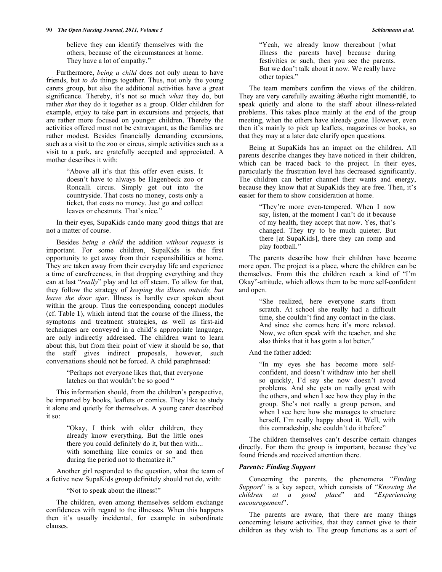believe they can identify themselves with the others, because of the circumstances at home. They have a lot of empathy."

 Furthermore, *being a child* does not only mean to have friends, but *to do* things together. Thus, not only the young carers group, but also the additional activities have a great significance. Thereby, it's not so much *what* they do, but rather *that* they do it together as a group. Older children for example, enjoy to take part in excursions and projects, that are rather more focused on younger children. Thereby the activities offered must not be extravagant, as the families are rather modest. Besides financially demanding excursions, such as a visit to the zoo or circus, simple activities such as a visit to a park, are gratefully accepted and appreciated. A mother describes it with:

> "Above all it's that this offer even exists. It doesn't have to always be Hagenbeck zoo or Roncalli circus. Simply get out into the countryside. That costs no money, costs only a ticket, that costs no money. Just go and collect leaves or chestnuts. That's nice."

 In their eyes, SupaKids cando many good things that are not a matter of course.

 Besides *being a child* the addition *without requests* is important. For some children, SupaKids is the first opportunity to get away from their responsibilities at home. They are taken away from their everyday life and experience a time of carefreeness, in that dropping everything and they can at last "*really*" play and let off steam. To allow for that, they follow the strategy of *keeping the illness outside, but leave the door ajar*. Illness is hardly ever spoken about within the group. Thus the corresponding concept modules (cf. Table **1**), which intend that the course of the illness, the symptoms and treatment strategies, as well as first-aid techniques are conveyed in a child's appropriate language, are only indirectly addressed. The children want to learn about this, but from their point of view it should be so, that the staff gives indirect proposals, however, such conversations should not be forced. A child paraphrased:

> "Perhaps not everyone likes that, that everyone latches on that wouldn't be so good "

 This information should, from the children's perspective, be imparted by books, leaflets or comics. They like to study it alone and quietly for themselves. A young carer described it so:

> "Okay, I think with older children, they already know everything. But the little ones there you could definitely do it, but then with... with something like comics or so and then during the period not to thematize it."

 Another girl responded to the question, what the team of a fictive new SupaKids group definitely should not do, with:

"Not to speak about the illness!"

 The children, even among themselves seldom exchange confidences with regard to the illnesses. When this happens then it's usually incidental, for example in subordinate clauses.

"Yeah, we already know thereabout [what illness the parents have] because during festivities or such, then you see the parents. But we don't talk about it now. We really have other topics."

 The team members confirm the views of the children. They are very carefully awaiting â $\epsilon$  at the right momenta  $\epsilon$ , to speak quietly and alone to the staff about illness-related problems. This takes place mainly at the end of the group meeting, when the others have already gone. However, even then it's mainly to pick up leaflets, magazines or books, so that they may at a later date clarify open questions.

 Being at SupaKids has an impact on the children. All parents describe changes they have noticed in their children, which can be traced back to the project. In their eyes, particularly the frustration level has decreased significantly. The children can better channel their wants and energy, because they know that at SupaKids they are free. Then, it's easier for them to show consideration at home.

> "They're more even-tempered. When I now say, listen, at the moment I can't do it because of my health, they accept that now. Yes, that's changed. They try to be much quieter. But there [at SupaKids], there they can romp and play football."

 The parents describe how their children have become more open. The project is a place, where the children can be themselves. From this the children reach a kind of "I'm Okay"-attitude, which allows them to be more self-confident and open.

> "She realized, here everyone starts from scratch. At school she really had a difficult time, she couldn't find any contact in the class. And since she comes here it's more relaxed. Now, we often speak with the teacher, and she also thinks that it has gottn a lot better."

And the father added:

"In my eyes she has become more selfconfident, and doesn't withdraw into her shell so quickly, I'd say she now doesn't avoid problems. And she gets on really great with the others, and when I see how they play in the group. She's not really a group person, and when I see here how she manages to structure herself, I'm really happy about it. Well, with this comradeship, she couldn't do it before"

 The children themselves can't describe certain changes directly. For them the group is important, because they've found friends and received attention there.

# *Parents: Finding Support*

 Concerning the parents, the phenomena "*Finding Support*" is a key aspect, which consists of "*Knowing the children at a good place*" and "*Experiencing encouragement*".

 The parents are aware, that there are many things concerning leisure activities, that they cannot give to their children as they wish to. The group functions as a sort of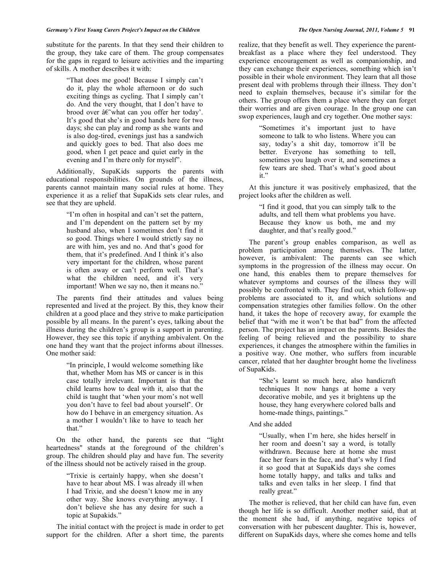substitute for the parents. In that they send their children to the group, they take care of them. The group compensates for the gaps in regard to leisure activities and the imparting of skills. A mother describes it with:

> "That does me good! Because I simply can't do it, play the whole afternoon or do such exciting things as cycling. That I simply can't do. And the very thought, that I don't have to brood over â˜what can you offer her today'. It's good that she's in good hands here for two days; she can play and romp as she wants and is also dog-tired, evenings just has a sandwich and quickly goes to bed. That also does me good, when I get peace and quiet early in the evening and I'm there only for myself".

 Additionally, SupaKids supports the parents with educational responsibilities. On grounds of the illness, parents cannot maintain many social rules at home. They experience it as a relief that SupaKids sets clear rules, and see that they are upheld.

> "I'm often in hospital and can't set the pattern, and I'm dependent on the pattern set by my husband also, when I sometimes don't find it so good. Things where I would strictly say no are with him, yes and no. And that's good for them, that it's predefined. And I think it's also very important for the children, whose parent is often away or can't perform well. That's what the children need, and it's very important! When we say no, then it means no."

 The parents find their attitudes and values being represented and lived at the project. By this, they know their children at a good place and they strive to make participation possible by all means. In the parent's eyes, talking about the illness during the children's group is a support in parenting. However, they see this topic if anything ambivalent. On the one hand they want that the project informs about illnesses. One mother said:

> "In principle, I would welcome something like that, whether Mom has MS or cancer is in this case totally irrelevant. Important is that the child learns how to deal with it, also that the child is taught that 'when your mom's not well you don't have to feel bad about yourself'. Or how do I behave in an emergency situation. As a mother I wouldn't like to have to teach her that."

 On the other hand, the parents see that "light heartedness" stands at the foreground of the children's group. The children should play and have fun. The severity of the illness should not be actively raised in the group.

> "Trixie is certainly happy, when she doesn't have to hear about MS. I was already ill when I had Trixie, and she doesn't know me in any other way. She knows everything anyway. I don't believe she has any desire for such a topic at Supakids."

 The initial contact with the project is made in order to get support for the children. After a short time, the parents realize, that they benefit as well. They experience the parentbreakfast as a place where they feel understood. They experience encouragement as well as companionship, and they can exchange their experiences, something which isn't possible in their whole environment. They learn that all those present deal with problems through their illness. They don't need to explain themselves, because it's similar for the others. The group offers them a place where they can forget their worries and are given courage. In the group one can swop experiences, laugh and cry together. One mother says:

> "Sometimes it's important just to have someone to talk to who listens. Where you can say, today's a shit day, tomorrow it'll be better. Everyone has something to tell, sometimes you laugh over it, and sometimes a few tears are shed. That's what's good about it."

 At this juncture it was positively emphasized, that the project looks after the children as well.

> "I find it good, that you can simply talk to the adults, and tell them what problems you have. Because they know us both, me and my daughter, and that's really good."

 The parent's group enables comparison, as well as problem participation among themselves. The latter, however, is ambivalent: The parents can see which symptoms in the progression of the illness may occur. On one hand, this enables them to prepare themselves for whatever symptoms and courses of the illness they will possibly be confronted with. They find out, which follow-up problems are associated to it, and which solutions and compensation strategies other families follow. On the other hand, it takes the hope of recovery away, for example the belief that "with me it won't be that bad" from the affected person. The project has an impact on the parents. Besides the feeling of being relieved and the possibility to share experiences, it changes the atmosphere within the families in a positive way. One mother, who suffers from incurable cancer, related that her daughter brought home the liveliness of SupaKids.

> "She's learnt so much here, also handicraft techniques It now hangs at home a very decorative mobile, and yes it brightens up the house, they hang everywhere colored balls and home-made things, paintings."

And she added

"Usually, when I'm here, she hides herself in her room and doesn't say a word, is totally withdrawn. Because here at home she must face her fears in the face, and that's why I find it so good that at SupaKids days she comes home totally happy, and talks and talks and talks and even talks in her sleep. I find that really great."

 The mother is relieved, that her child can have fun, even though her life is so difficult. Another mother said, that at the moment she had, if anything, negative topics of conversation with her pubescent daughter. This is, however, different on SupaKids days, where she comes home and tells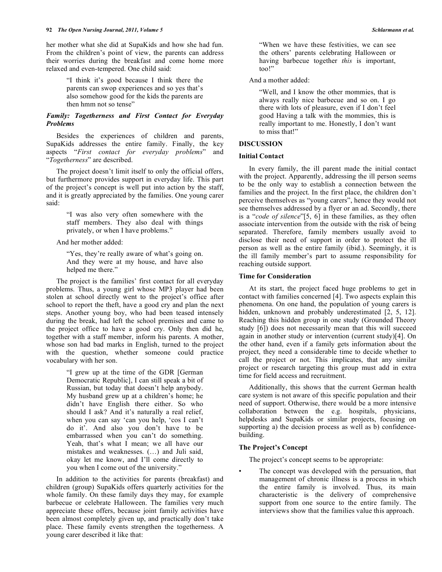her mother what she did at SupaKids and how she had fun. From the children's point of view, the parents can address their worries during the breakfast and come home more relaxed and even-tempered. One child said:

> "I think it's good because I think there the parents can swop experiences and so yes that's also somehow good for the kids the parents are then hmm not so tense"

# *Family: Togetherness and First Contact for Everyday Problems*

 Besides the experiences of children and parents, SupaKids addresses the entire family. Finally, the key aspects "*First contact for everyday problems*" and "*Togetherness*" are described.

 The project doesn't limit itself to only the official offers, but furthermore provides support in everyday life. This part of the project's concept is well put into action by the staff, and it is greatly appreciated by the families. One young carer said:

> "I was also very often somewhere with the staff members. They also deal with things privately, or when I have problems."

And her mother added:

"Yes, they're really aware of what's going on. And they were at my house, and have also helped me there."

 The project is the families' first contact for all everyday problems. Thus, a young girl whose MP3 player had been stolen at school directly went to the project's office after school to report the theft, have a good cry and plan the next steps. Another young boy, who had been teased intensely during the break, had left the school premises and came to the project office to have a good cry. Only then did he, together with a staff member, inform his parents. A mother, whose son had bad marks in English, turned to the project with the question, whether someone could practice vocabulary with her son.

> "I grew up at the time of the GDR [German Democratic Republic], I can still speak a bit of Russian, but today that doesn't help anybody. My husband grew up at a children's home; he didn't have English there either. So who should I ask? And it's naturally a real relief, when you can say 'can you help, 'cos I can't do it'. And also you don't have to be embarrassed when you can't do something. Yeah, that's what I mean; we all have our mistakes and weaknesses. (…) and Juli said, okay let me know, and I'll come directly to you when I come out of the university."

 In addition to the activities for parents (breakfast) and children (group) SupaKids offers quarterly activities for the whole family. On these family days they may, for example barbecue or celebrate Halloween. The families very much appreciate these offers, because joint family activities have been almost completely given up, and practically don't take place. These family events strengthen the togetherness. A young carer described it like that:

"When we have these festivities, we can see the others' parents celebrating Halloween or having barbecue together *this* is important, too!"

And a mother added:

"Well, and I know the other mommies, that is always really nice barbecue and so on. I go there with lots of pleasure, even if I don't feel good Having a talk with the mommies, this is really important to me. Honestly, I don't want to miss that!"

# **DISCUSSION**

## **Initial Contact**

 In every family, the ill parent made the initial contact with the project. Apparently, addressing the ill person seems to be the only way to establish a connection between the families and the project. In the first place, the children don't perceive themselves as "young carers", hence they would not see themselves addressed by a flyer or an ad. Secondly, there is a "*code of silence*"[5, 6] in these families, as they often associate intervention from the outside with the risk of being separated. Therefore, family members usually avoid to disclose their need of support in order to protect the ill person as well as the entire family (ibid.). Seemingly, it is the ill family member's part to assume responsibility for reaching outside support.

# **Time for Consideration**

 At its start, the project faced huge problems to get in contact with families concerned [4]. Two aspects explain this phenomena. On one hand, the population of young carers is hidden, unknown and probably underestimated [2, 5, 12]. Reaching this hidden group in one study (Grounded Theory study [6]) does not necessarily mean that this will succeed again in another study or intervention (current study)[4]. On the other hand, even if a family gets information about the project, they need a considerable time to decide whether to call the project or not. This implicates, that any similar project or research targeting this group must add in extra time for field access and recruitment.

 Additionally, this shows that the current German health care system is not aware of this specific population and their need of support. Otherwise, there would be a more intensive collaboration between the e.g. hospitals, physicians, helpdesks and SupaKids or similar projects, focusing on supporting a) the decision process as well as b) confidencebuilding.

# **The Project's Concept**

The project's concept seems to be appropriate:

The concept was developed with the persuation, that management of chronic illness is a process in which the entire family is involved. Thus, its main characteristic is the delivery of comprehensive support from one source to the entire family. The interviews show that the families value this approach.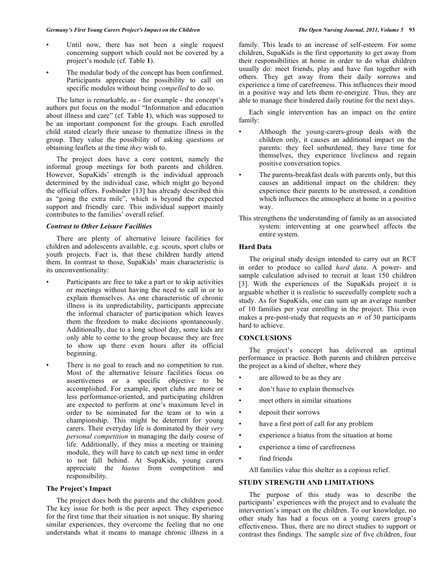- Until now, there has not been a single request concerning support which could not be covered by a project's module (cf. Table **1**).
- The modular body of the concept has been confirmed. Participants appreciate the possibility to call on specific modules without being *compelled* to do so.

 The latter is remarkable, as - for example - the concept's authors put focus on the modul "Information and education about illness and care" (cf. Table **1**), which was supposed to be an important component for the groups. Each enrolled child stated clearly their unease to thematize illness in the group. They value the possibility of asking questions or obtaining leaflets at the time *they* wish to.

 The project does have a core content, namely the informal group meetings for both parents and children. However, SupaKids' strength is the individual approach determined by the individual case, which might go beyond the official offers. Fosbinder [13] has already described this as "going the extra mile", which is beyond the expected support and friendly care. This individual support mainly contributes to the families' overall relief.

# *Contrast to Other Leisure Facilities*

 There are plenty of alternative leisure facilities for children and adolescents available, e.g. scouts, sport clubs or youth projects. Fact is, that these children hardly attend them. In contrast to those, SupaKids' main characteristic is its unconventionality:

- Participants are free to take a part or to skip activities or meetings without having the need to call in or to explain themselves. As one characteristic of chronic illness is its unpredictability, participants appreciate the informal character of participation which leaves them the freedom to make decisions spontaneously. Additionally, due to a long school day, some kids are only able to come to the group because they are free to show up there even hours after its official beginning.
- There is no goal to reach and no competition to run. Most of the alternative leisure facilities focus on assertiveness or a specific objective to be accomplished. For example, sport clubs are more or less performance-oriented, and participating children are expected to perform at one's maximum level in order to be nominated for the team or to win a championship. This might be deterrent for young carers. Their everyday life is dominated by their *very personal competition* in managing the daily course of life. Additionally, if they miss a meeting or training module, they will have to catch up next time in order to not fall behind. At SupaKids, young carers appreciate the *hiatus* from competition and responsibility.

# **The Project's Impact**

 The project does both the parents and the children good. The key issue for both is the peer aspect. They experience for the first time that their situation is not unique. By sharing similar experiences, they overcome the feeling that no one understands what it means to manage chronic illness in a

family. This leads to an increase of self-esteem. For some children, SupaKids is the first opportunity to get away from their responsibilities at home in order to do what children usually do: meet friends, play and have fun together with others. They get away from their daily sorrows and experience a time of carefreeness. This influences their mood in a positive way and lets them re-energize. Thus, they are able to manage their hindered daily routine for the next days.

 Each single intervention has an impact on the entire family:

- Although the young-carers-group deals with the children only, it causes an additional impact on the parents: they feel unburdened, they have time for themselves, they experience liveliness and regain positive conversation topics.
- The parents-breakfast deals with parents only, but this causes an additional impact on the children: they experience their parents to be unstressed, a condition which influences the atmosphere at home in a positive way.
- This strengthens the understanding of family as an associated system: interventing at one gearwheel affects the entire system.

## **Hard Data**

 The original study design intended to carry out an RCT in order to produce so called *hard data*. A power- and sample calculation advised to recruit at least 150 children [3]. With the experiences of the SupaKids project it is arguable whether it is realistic to sucessfully complete such a study. As for SupaKids, one can sum up an average number of 10 families per year enrolling in the project. This even makes a pre-post-study that requests an *n* of 30 participants hard to achieve.

# **CONCLUSIONS**

 The project's concept has delivered an optimal performance in practice. Both parents and children perceive the project as a kind of shelter, where they

- are allowed to be as they are
- don't have to explain themselves
- meet others in similar situations
- deposit their sorrows
- have a first port of call for any problem
- experience a hiatus from the situation at home
- experience a time of carefreeness
- find friends

All families value this shelter as a copious relief.

# **STUDY STRENGTH AND LIMITATIONS**

 The purpose of this study was to describe the participants' experiences with the project and to evaluate the intervention's impact on the children. To our knowledge, no other study has had a focus on a young carers group's effectiveness. Thus, there are no direct studies to support or contrast thes findings. The sample size of five children, four